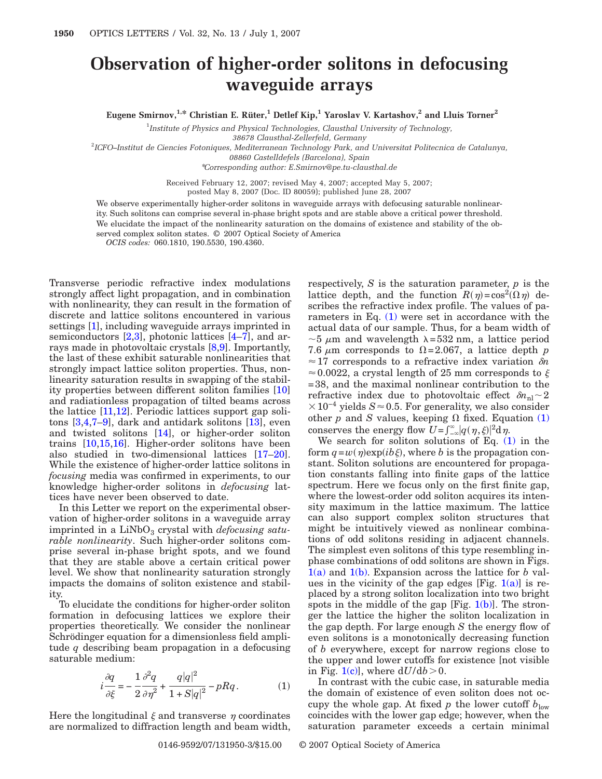## **Observation of higher-order solitons in defocusing waveguide arrays**

**Eugene Smirnov,**<sup>1,\*</sup> Christian E. Rüter,<sup>1</sup> Detlef Kip,<sup>1</sup> Yaroslav V. Kartashov,<sup>2</sup> and Lluis Torner<sup>2</sup>

1 *Institute of Physics and Physical Technologies, Clausthal University of Technology,*

*38678 Clausthal-Zellerfeld, Germany*

2 *ICFO–Institut de Ciencies Fotoniques, Mediterranean Technology Park, and Universitat Politecnica de Catalunya,*

*08860 Castelldefels (Barcelona), Spain*

\**Corresponding author: E.Smirnov@pe.tu-clausthal.de*

Received February 12, 2007; revised May 4, 2007; accepted May 5, 2007; posted May 8, 2007 (Doc. ID 80059); published June 28, 2007

We observe experimentally higher-order solitons in waveguide arrays with defocusing saturable nonlinear-

ity. Such solitons can comprise several in-phase bright spots and are stable above a critical power threshold. We elucidate the impact of the nonlinearity saturation on the domains of existence and stability of the ob-

served complex soliton states. © 2007 Optical Society of America

*OCIS codes:* 060.1810, 190.5530, 190.4360.

Transverse periodic refractive index modulations strongly affect light propagation, and in combination with nonlinearity, they can result in the formation of discrete and lattice solitons encountered in various settings [\[1\]](#page-2-0), including waveguide arrays imprinted in semiconductors  $[2,3]$  $[2,3]$ , photonic lattices  $[4-7]$  $[4-7]$ , and arrays made in photovoltaic crystals [\[8](#page-2-5)[,9\]](#page-2-6). Importantly, the last of these exhibit saturable nonlinearities that strongly impact lattice soliton properties. Thus, nonlinearity saturation results in swapping of the stability properties between different soliton families [\[10\]](#page-2-7) and radiationless propagation of tilted beams across the lattice  $[11,12]$  $[11,12]$ . Periodic lattices support gap solitons [\[3](#page-2-2)[,4](#page-2-3)[,7](#page-2-4)[–9\]](#page-2-6), dark and antidark solitons [\[13\]](#page-2-10), even and twisted solitons [\[14\]](#page-2-11), or higher-order soliton trains [\[10](#page-2-7)[,15](#page-2-12)[,16\]](#page-2-13). Higher-order solitons have been also studied in two-dimensional lattices [\[17](#page-2-14)[–20\]](#page-2-15). While the existence of higher-order lattice solitons in *focusing* media was confirmed in experiments, to our knowledge higher-order solitons in *defocusing* lattices have never been observed to date.

In this Letter we report on the experimental observation of higher-order solitons in a waveguide array imprinted in a LiNbO<sub>3</sub> crystal with *defocusing saturable nonlinearity*. Such higher-order solitons comprise several in-phase bright spots, and we found that they are stable above a certain critical power level. We show that nonlinearity saturation strongly impacts the domains of soliton existence and stability.

To elucidate the conditions for higher-order soliton formation in defocusing lattices we explore their properties theoretically. We consider the nonlinear Schrödinger equation for a dimensionless field amplitude *q* describing beam propagation in a defocusing saturable medium:

$$
i\frac{\partial q}{\partial \xi} = -\frac{1}{2}\frac{\partial^2 q}{\partial \eta^2} + \frac{q|q|^2}{1 + S|q|^2} - pRq. \tag{1}
$$

<span id="page-0-0"></span>Here the longitudinal  $\xi$  and transverse  $\eta$  coordinates are normalized to diffraction length and beam width, respectively, *S* is the saturation parameter, *p* is the lattice depth, and the function  $R(\eta) = \cos^2(\Omega \eta)$  describes the refractive index profile. The values of parameters in Eq.  $(1)$  were set in accordance with the actual data of our sample. Thus, for a beam width of  $\sim$ 5  $\mu$ m and wavelength  $\lambda$ =532 nm, a lattice period 7.6  $\mu$ m corresponds to  $\Omega$ =2.067, a lattice depth *p*  $\approx$  17 corresponds to a refractive index variation  $\delta n$  $\approx$  0.0022, a crystal length of 25 mm corresponds to  $\xi$ =38, and the maximal nonlinear contribution to the refractive index due to photovoltaic effect  $\delta n_{\rm nl} \sim 2$  $\times$ 10<sup>-4</sup> yields *S* ≈ 0.5. For generality, we also consider other *p* and *S* values, keeping  $\Omega$  fixed. Equation [\(1\)](#page-0-0) conserves the energy flow  $U = \int_{-\infty}^{\infty} |q(\eta, \xi)|^2 d\eta$ .

We search for soliton solutions of Eq.  $(1)$  in the form  $q = w(\eta) \exp(i b \xi)$ , where *b* is the propagation constant. Soliton solutions are encountered for propagation constants falling into finite gaps of the lattice spectrum. Here we focus only on the first finite gap, where the lowest-order odd soliton acquires its intensity maximum in the lattice maximum. The lattice can also support complex soliton structures that might be intuitively viewed as nonlinear combinations of odd solitons residing in adjacent channels. The simplest even solitons of this type resembling inphase combinations of odd solitons are shown in Figs. [1\(a\)](#page-1-0) and [1\(b\).](#page-1-0) Expansion across the lattice for *b* values in the vicinity of the gap edges [Fig.  $1(a)$ ] is replaced by a strong soliton localization into two bright spots in the middle of the gap  $[Fig. 1(b)]$  $[Fig. 1(b)]$ . The stronger the lattice the higher the soliton localization in the gap depth. For large enough *S* the energy flow of even solitons is a monotonically decreasing function of *b* everywhere, except for narrow regions close to the upper and lower cutoffs for existence [not visible in Fig. [1\(c\)\]](#page-1-0), where  $dU/db > 0$ .

In contrast with the cubic case, in saturable media the domain of existence of even soliton does not occupy the whole gap. At fixed  $p$  the lower cutoff  $b_{\text{low}}$ coincides with the lower gap edge; however, when the saturation parameter exceeds a certain minimal

0146-9592/07/131950-3/\$15.00 © 2007 Optical Society of America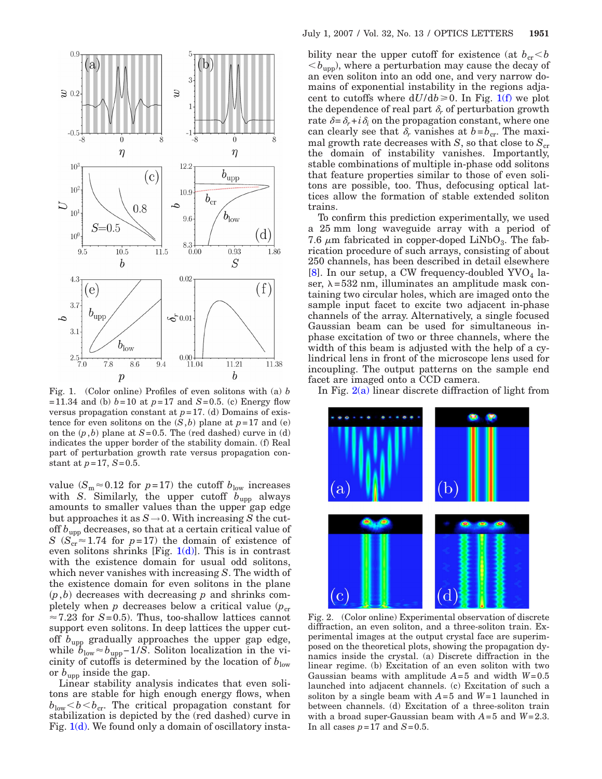<span id="page-1-0"></span>

 $=11.34$  and (b)  $b=10$  at  $p=17$  and  $S=0.5$ . (c) Energy flow versus propagation constant at *p*=17. (d) Domains of existence for even solitons on the  $(S,b)$  plane at  $p=17$  and (e) on the  $(p, b)$  plane at  $S = 0.5$ . The (red dashed) curve in (d) indicates the upper border of the stability domain. (f) Real part of perturbation growth rate versus propagation constant at *p*=17, *S*=0.5.

value ( $S_m \approx 0.12$  for  $p=17$ ) the cutoff  $b_{\text{low}}$  increases with *S*. Similarly, the upper cutoff  $b_{\text{upp}}$  always amounts to smaller values than the upper gap edge but approaches it as  $S\rightarrow 0$ . With increasing *S* the cutoff *b*upp decreases, so that at a certain critical value of *S* ( $S_{cr}^{\text{Tr}} \approx 1.74$  for *p*=17) the domain of existence of even solitons shrinks [Fig.  $1(d)$ ]. This is in contrast with the existence domain for usual odd solitons, which never vanishes with increasing *S*. The width of the existence domain for even solitons in the plane  $(p, b)$  decreases with decreasing  $p$  and shrinks completely when *p* decreases below a critical value  $(p_{cr})$  $\approx$  7.23 for *S*=0.5). Thus, too-shallow lattices cannot support even solitons. In deep lattices the upper cutoff  $b_{\text{upp}}$  gradually approaches the upper gap edge, while  $b_{\text{low}} \approx b_{\text{upp}} - 1/S$ . Soliton localization in the vicinity of cutoffs is determined by the location of  $b_{\text{low}}$ or  $b_{\text{upp}}$  inside the gap.

Linear stability analysis indicates that even solitons are stable for high enough energy flows, when  $b_{\rm low}$   $<$   $b$   $<$   $b_{\rm cr}$ . The critical propagation constant for stabilization is depicted by the (red dashed) curve in Fig.  $1(d)$ . We found only a domain of oscillatory insta-

bility near the upper cutoff for existence (at  $b_{cr}$   $\lt b$ **<sub>upp</sub>), where a perturbation may cause the decay of** an even soliton into an odd one, and very narrow domains of exponential instability in the regions adjacent to cutoffs where  $dU/db \ge 0$ . In Fig. [1\(f\)](#page-1-0) we plot the dependence of real part  $\delta_r$  of perturbation growth rate  $\delta = \delta_r + i \delta_i$  on the propagation constant, where one can clearly see that  $\delta_r$  vanishes at  $b = b_{cr}$ . The maximal growth rate decreases with *S*, so that close to  $S_{cr}$ the domain of instability vanishes. Importantly, stable combinations of multiple in-phase odd solitons that feature properties similar to those of even solitons are possible, too. Thus, defocusing optical lattices allow the formation of stable extended soliton trains.

To confirm this prediction experimentally, we used a 25 mm long waveguide array with a period of 7.6  $\mu$ m fabricated in copper-doped LiNbO<sub>3</sub>. The fabrication procedure of such arrays, consisting of about 250 channels, has been described in detail elsewhere [\[8\]](#page-2-5). In our setup, a CW frequency-doubled  $\text{YVO}_4$  laser,  $\lambda = 532$  nm, illuminates an amplitude mask containing two circular holes, which are imaged onto the sample input facet to excite two adjacent in-phase channels of the array. Alternatively, a single focused Gaussian beam can be used for simultaneous inphase excitation of two or three channels, where the width of this beam is adjusted with the help of a cylindrical lens in front of the microscope lens used for incoupling. The output patterns on the sample end facet are imaged onto a CCD camera.

Fig. 1. (Color online) Profiles of even solitons with (a) *b* In Fig. [2\(a\)](#page-1-1) linear discrete diffraction of light from

<span id="page-1-1"></span>

Fig. 2. (Color online) Experimental observation of discrete diffraction, an even soliton, and a three-soliton train. Experimental images at the output crystal face are superimposed on the theoretical plots, showing the propagation dynamics inside the crystal. (a) Discrete diffraction in the linear regime. (b) Excitation of an even soliton with two Gaussian beams with amplitude *A*=5 and width *W*=0.5 launched into adjacent channels. (c) Excitation of such a soliton by a single beam with *A*=5 and *W*=1 launched in between channels. (d) Excitation of a three-soliton train with a broad super-Gaussian beam with *A*=5 and *W*=2.3. In all cases  $p=17$  and  $S=0.5$ .